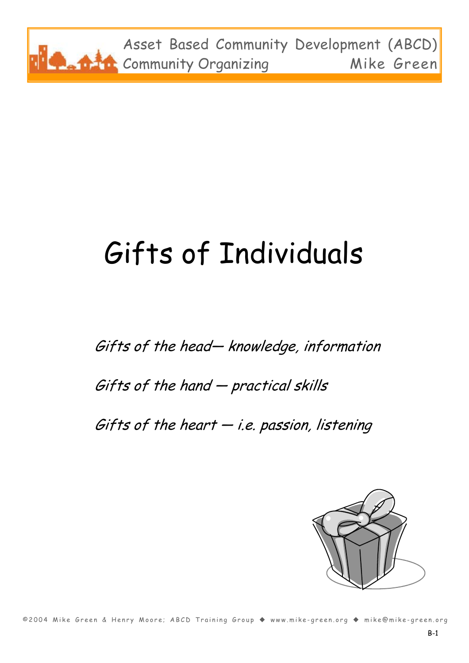

# Gifts of Individuals

Gifts of the head— knowledge, information Gifts of the hand — practical skills Gifts of the heart  $-i.e.$  passion, listening



©2004 Mike Green & Henry Moore; ABCD Training Group ◆ www.mike-green.org ◆ mike@mike-green.org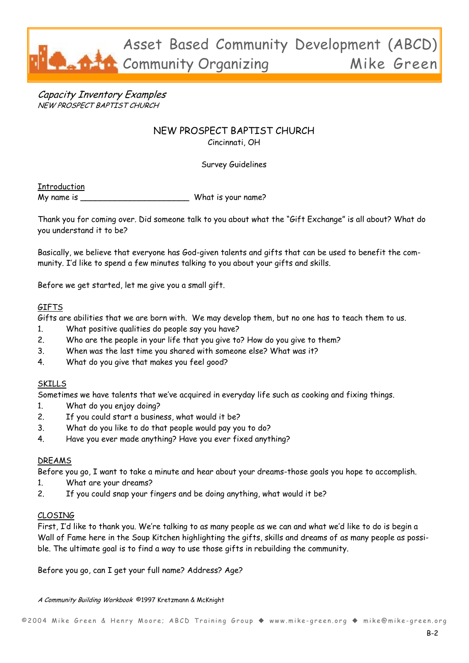

Capacity Inventory Examples NEW PROSPECT BAPTIST CHURCH

### NEW PROSPECT BAPTIST CHURCH Cincinnati, OH

Survey Guidelines

**Introduction** 

My name is \_\_\_\_\_\_\_\_\_\_\_\_\_\_\_\_\_\_\_\_\_\_\_\_\_\_\_\_\_\_\_What is your name?

Thank you for coming over. Did someone talk to you about what the "Gift Exchange" is all about? What do you understand it to be?

Basically, we believe that everyone has God-given talents and gifts that can be used to benefit the community. I'd like to spend a few minutes talking to you about your gifts and skills.

Before we get started, let me give you a small gift.

#### **GIFTS**

Gifts are abilities that we are born with. We may develop them, but no one has to teach them to us.

- 1. What positive qualities do people say you have?
- 2. Who are the people in your life that you give to? How do you give to them?
- 3. When was the last time you shared with someone else? What was it?
- 4. What do you give that makes you feel good?

#### SKILLS

Sometimes we have talents that we've acquired in everyday life such as cooking and fixing things.

- 1. What do you enjoy doing?
- 2. If you could start a business, what would it be?
- 3. What do you like to do that people would pay you to do?
- 4. Have you ever made anything? Have you ever fixed anything?

#### DREAMS

Before you go, I want to take a minute and hear about your dreams-those goals you hope to accomplish.

- 1. What are your dreams?
- 2. If you could snap your fingers and be doing anything, what would it be?

#### CLOSING

First, I'd like to thank you. We're talking to as many people as we can and what we'd like to do is begin a Wall of Fame here in the Soup Kitchen highlighting the gifts, skills and dreams of as many people as possible. The ultimate goal is to find a way to use those gifts in rebuilding the community.

Before you go, can I get your full name? Address? Age?

A Community Building Workbook ©1997 Kretzmann & McKnight